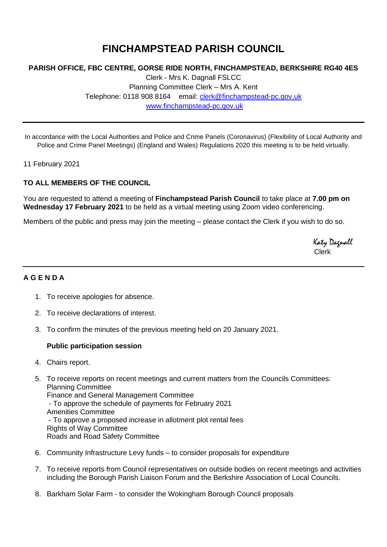# **FINCHAMPSTEAD PARISH COUNCIL**

### **PARISH OFFICE, FBC CENTRE, GORSE RIDE NORTH, FINCHAMPSTEAD, BERKSHIRE RG40 4ES**

Clerk - Mrs K. Dagnall FSLCC Planning Committee Clerk – Mrs A. Kent Telephone: 0118 908 8164 email: [clerk@finchampstead-pc.gov.uk](mailto:clerk@finchampstead-pc.gov.uk) [www.finchampstead-pc.gov.uk](http://www.finchampstead-pc.gov.uk/)

In accordance with the Local Authorities and Police and Crime Panels (Coronavirus) (Flexibility of Local Authority and Police and Crime Panel Meetings) (England and Wales) Regulations 2020 this meeting is to be held virtually.

11 February 2021

#### **TO ALL MEMBERS OF THE COUNCIL**

You are requested to attend a meeting of **Finchampstead Parish Council** to take place at **7.00 pm on Wednesday 17 February 2021** to be held as a virtual meeting using Zoom video conferencing.

Members of the public and press may join the meeting – please contact the Clerk if you wish to do so.

 Katy Dagnall Clerk

## **A G E N D A**

- 1. To receive apologies for absence.
- 2. To receive declarations of interest.
- 3. To confirm the minutes of the previous meeting held on 20 January 2021.

#### **Public participation session**

- 4. Chairs report.
- 5. To receive reports on recent meetings and current matters from the Councils Committees: Planning Committee Finance and General Management Committee - To approve the schedule of payments for February 2021 Amenities Committee - To approve a proposed increase in allotment plot rental fees
	- Rights of Way Committee Roads and Road Safety Committee
- 6. Community Infrastructure Levy funds to consider proposals for expenditure
- 7. To receive reports from Council representatives on outside bodies on recent meetings and activities including the Borough Parish Liaison Forum and the Berkshire Association of Local Councils.
- 8. Barkham Solar Farm to consider the Wokingham Borough Council proposals